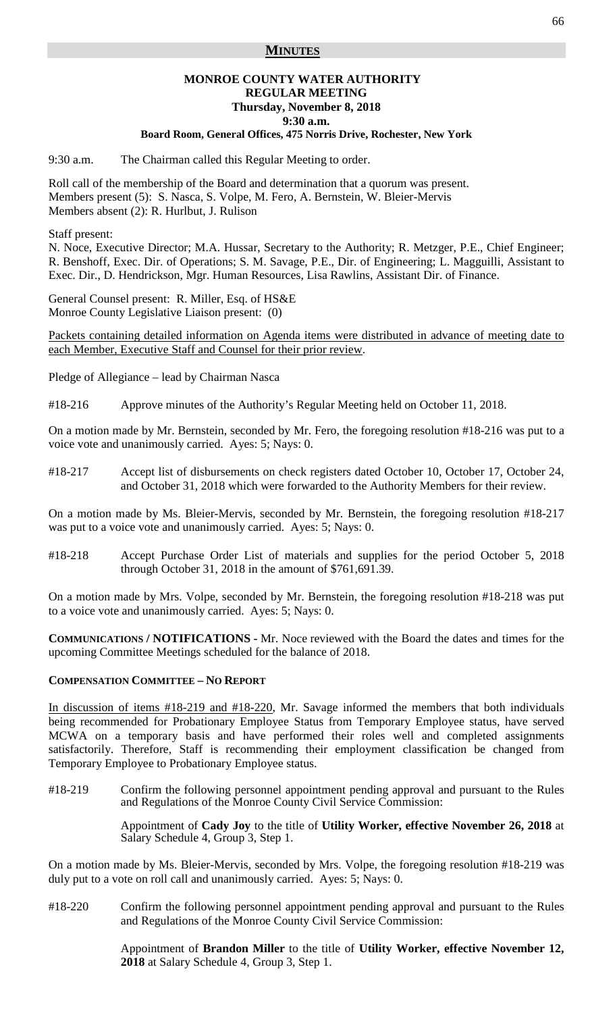## **MINUTES**

# **MONROE COUNTY WATER AUTHORITY REGULAR MEETING Thursday, November 8, 2018 9:30 a.m.**

# **Board Room, General Offices, 475 Norris Drive, Rochester, New York**

9:30 a.m. The Chairman called this Regular Meeting to order.

Roll call of the membership of the Board and determination that a quorum was present. Members present (5): S. Nasca, S. Volpe, M. Fero, A. Bernstein, W. Bleier-Mervis Members absent (2): R. Hurlbut, J. Rulison

Staff present:

N. Noce, Executive Director; M.A. Hussar, Secretary to the Authority; R. Metzger, P.E., Chief Engineer; R. Benshoff, Exec. Dir. of Operations; S. M. Savage, P.E., Dir. of Engineering; L. Magguilli, Assistant to Exec. Dir., D. Hendrickson, Mgr. Human Resources, Lisa Rawlins, Assistant Dir. of Finance.

General Counsel present: R. Miller, Esq. of HS&E Monroe County Legislative Liaison present: (0)

Packets containing detailed information on Agenda items were distributed in advance of meeting date to each Member, Executive Staff and Counsel for their prior review.

Pledge of Allegiance – lead by Chairman Nasca

#18-216 Approve minutes of the Authority's Regular Meeting held on October 11, 2018.

On a motion made by Mr. Bernstein, seconded by Mr. Fero, the foregoing resolution #18-216 was put to a voice vote and unanimously carried. Ayes: 5; Nays: 0.

#18-217 Accept list of disbursements on check registers dated October 10, October 17, October 24, and October 31, 2018 which were forwarded to the Authority Members for their review.

On a motion made by Ms. Bleier-Mervis, seconded by Mr. Bernstein, the foregoing resolution #18-217 was put to a voice vote and unanimously carried. Ayes: 5; Nays: 0.

#18-218 Accept Purchase Order List of materials and supplies for the period October 5, 2018 through October 31, 2018 in the amount of \$761,691.39.

On a motion made by Mrs. Volpe, seconded by Mr. Bernstein, the foregoing resolution #18-218 was put to a voice vote and unanimously carried. Ayes: 5; Nays: 0.

**COMMUNICATIONS / NOTIFICATIONS -** Mr. Noce reviewed with the Board the dates and times for the upcoming Committee Meetings scheduled for the balance of 2018.

#### **COMPENSATION COMMITTEE – NO REPORT**

In discussion of items #18-219 and #18-220, Mr. Savage informed the members that both individuals being recommended for Probationary Employee Status from Temporary Employee status, have served MCWA on a temporary basis and have performed their roles well and completed assignments satisfactorily. Therefore, Staff is recommending their employment classification be changed from Temporary Employee to Probationary Employee status.

#18-219 Confirm the following personnel appointment pending approval and pursuant to the Rules and Regulations of the Monroe County Civil Service Commission:

> Appointment of **Cady Joy** to the title of **Utility Worker, effective November 26, 2018** at Salary Schedule 4, Group 3, Step 1.

On a motion made by Ms. Bleier-Mervis, seconded by Mrs. Volpe, the foregoing resolution #18-219 was duly put to a vote on roll call and unanimously carried. Ayes: 5; Nays: 0.

#18-220 Confirm the following personnel appointment pending approval and pursuant to the Rules and Regulations of the Monroe County Civil Service Commission:

> Appointment of **Brandon Miller** to the title of **Utility Worker, effective November 12, 2018** at Salary Schedule 4, Group 3, Step 1.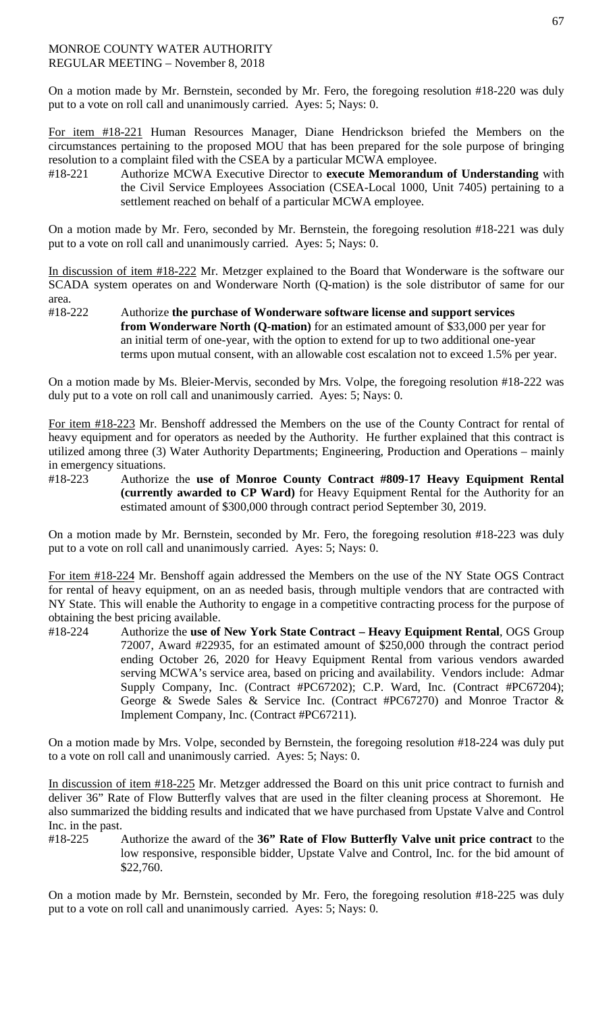On a motion made by Mr. Bernstein, seconded by Mr. Fero, the foregoing resolution #18-220 was duly put to a vote on roll call and unanimously carried. Ayes: 5; Nays: 0.

For item #18-221 Human Resources Manager, Diane Hendrickson briefed the Members on the circumstances pertaining to the proposed MOU that has been prepared for the sole purpose of bringing resolution to a complaint filed with the CSEA by a particular MCWA employee.

#18-221 Authorize MCWA Executive Director to **execute Memorandum of Understanding** with the Civil Service Employees Association (CSEA-Local 1000, Unit 7405) pertaining to a settlement reached on behalf of a particular MCWA employee.

On a motion made by Mr. Fero, seconded by Mr. Bernstein, the foregoing resolution #18-221 was duly put to a vote on roll call and unanimously carried. Ayes: 5; Nays: 0.

In discussion of item #18-222 Mr. Metzger explained to the Board that Wonderware is the software our SCADA system operates on and Wonderware North (Q-mation) is the sole distributor of same for our area.<br>#18-222

Authorize the purchase of Wonderware software license and support services **from Wonderware North (Q-mation)** for an estimated amount of \$33,000 per year for an initial term of one-year, with the option to extend for up to two additional one-year terms upon mutual consent, with an allowable cost escalation not to exceed 1.5% per year.

On a motion made by Ms. Bleier-Mervis, seconded by Mrs. Volpe, the foregoing resolution #18-222 was duly put to a vote on roll call and unanimously carried. Ayes: 5; Nays: 0.

For item #18-223 Mr. Benshoff addressed the Members on the use of the County Contract for rental of heavy equipment and for operators as needed by the Authority. He further explained that this contract is utilized among three (3) Water Authority Departments; Engineering, Production and Operations – mainly in emergency situations.

#18-223 Authorize the **use of Monroe County Contract #809-17 Heavy Equipment Rental (currently awarded to CP Ward)** for Heavy Equipment Rental for the Authority for an estimated amount of \$300,000 through contract period September 30, 2019.

On a motion made by Mr. Bernstein, seconded by Mr. Fero, the foregoing resolution #18-223 was duly put to a vote on roll call and unanimously carried. Ayes: 5; Nays: 0.

For item #18-224 Mr. Benshoff again addressed the Members on the use of the NY State OGS Contract for rental of heavy equipment, on an as needed basis, through multiple vendors that are contracted with NY State. This will enable the Authority to engage in a competitive contracting process for the purpose of obtaining the best pricing available.

#18-224 Authorize the **use of New York State Contract – Heavy Equipment Rental**, OGS Group 72007, Award #22935, for an estimated amount of \$250,000 through the contract period ending October 26, 2020 for Heavy Equipment Rental from various vendors awarded serving MCWA's service area, based on pricing and availability. Vendors include: Admar Supply Company, Inc. (Contract #PC67202); C.P. Ward, Inc. (Contract #PC67204); George & Swede Sales & Service Inc. (Contract #PC67270) and Monroe Tractor & Implement Company, Inc. (Contract #PC67211).

On a motion made by Mrs. Volpe, seconded by Bernstein, the foregoing resolution #18-224 was duly put to a vote on roll call and unanimously carried. Ayes: 5; Nays: 0.

In discussion of item #18-225 Mr. Metzger addressed the Board on this unit price contract to furnish and deliver 36" Rate of Flow Butterfly valves that are used in the filter cleaning process at Shoremont. He also summarized the bidding results and indicated that we have purchased from Upstate Valve and Control Inc. in the past.

#18-225 Authorize the award of the **36" Rate of Flow Butterfly Valve unit price contract** to the low responsive, responsible bidder, Upstate Valve and Control, Inc. for the bid amount of \$22,760.

On a motion made by Mr. Bernstein, seconded by Mr. Fero, the foregoing resolution #18-225 was duly put to a vote on roll call and unanimously carried. Ayes: 5; Nays: 0.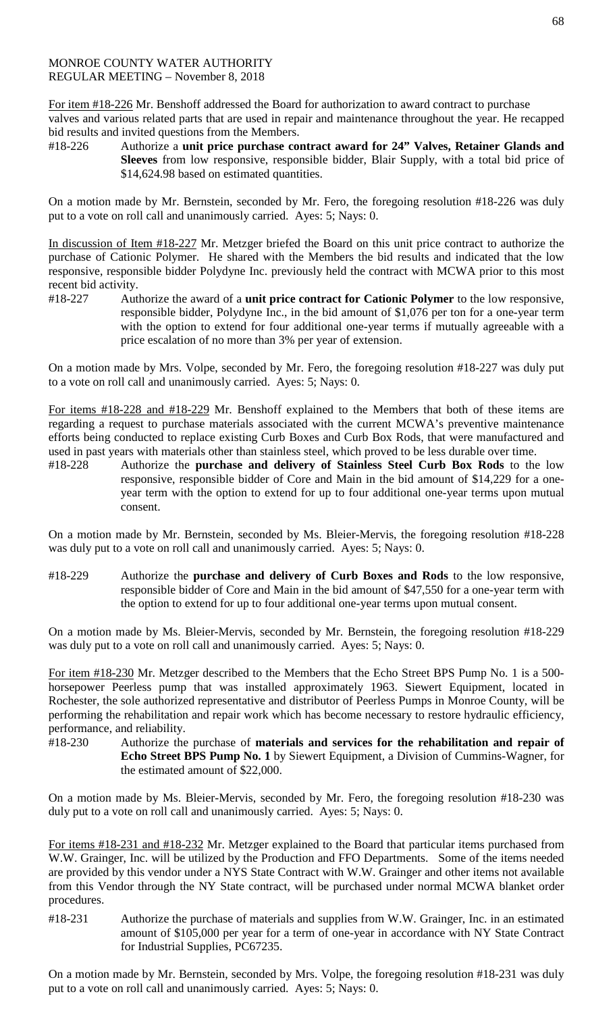For item #18-226 Mr. Benshoff addressed the Board for authorization to award contract to purchase valves and various related parts that are used in repair and maintenance throughout the year. He recapped bid results and invited questions from the Members.

#18-226 Authorize a **unit price purchase contract award for 24" Valves, Retainer Glands and Sleeves** from low responsive, responsible bidder, Blair Supply, with a total bid price of \$14,624.98 based on estimated quantities.

On a motion made by Mr. Bernstein, seconded by Mr. Fero, the foregoing resolution #18-226 was duly put to a vote on roll call and unanimously carried. Ayes: 5; Nays: 0.

In discussion of Item #18-227 Mr. Metzger briefed the Board on this unit price contract to authorize the purchase of Cationic Polymer. He shared with the Members the bid results and indicated that the low responsive, responsible bidder Polydyne Inc. previously held the contract with MCWA prior to this most recent bid activity.

#18-227 Authorize the award of a **unit price contract for Cationic Polymer** to the low responsive, responsible bidder, Polydyne Inc., in the bid amount of \$1,076 per ton for a one-year term with the option to extend for four additional one-year terms if mutually agreeable with a price escalation of no more than 3% per year of extension.

On a motion made by Mrs. Volpe, seconded by Mr. Fero, the foregoing resolution #18-227 was duly put to a vote on roll call and unanimously carried. Ayes: 5; Nays: 0.

For items #18-228 and #18-229 Mr. Benshoff explained to the Members that both of these items are regarding a request to purchase materials associated with the current MCWA's preventive maintenance efforts being conducted to replace existing Curb Boxes and Curb Box Rods, that were manufactured and used in past years with materials other than stainless steel, which proved to be less durable over time.

#18-228 Authorize the **purchase and delivery of Stainless Steel Curb Box Rods** to the low responsive, responsible bidder of Core and Main in the bid amount of \$14,229 for a oneyear term with the option to extend for up to four additional one-year terms upon mutual consent.

On a motion made by Mr. Bernstein, seconded by Ms. Bleier-Mervis, the foregoing resolution #18-228 was duly put to a vote on roll call and unanimously carried. Ayes: 5; Nays: 0.

#18-229 Authorize the **purchase and delivery of Curb Boxes and Rods** to the low responsive, responsible bidder of Core and Main in the bid amount of \$47,550 for a one-year term with the option to extend for up to four additional one-year terms upon mutual consent.

On a motion made by Ms. Bleier-Mervis, seconded by Mr. Bernstein, the foregoing resolution #18-229 was duly put to a vote on roll call and unanimously carried. Ayes: 5; Nays: 0.

For item #18-230 Mr. Metzger described to the Members that the Echo Street BPS Pump No. 1 is a 500 horsepower Peerless pump that was installed approximately 1963. Siewert Equipment, located in Rochester, the sole authorized representative and distributor of Peerless Pumps in Monroe County, will be performing the rehabilitation and repair work which has become necessary to restore hydraulic efficiency, performance, and reliability.

#18-230 Authorize the purchase of **materials and services for the rehabilitation and repair of Echo Street BPS Pump No. 1** by Siewert Equipment, a Division of Cummins-Wagner, for the estimated amount of \$22,000.

On a motion made by Ms. Bleier-Mervis, seconded by Mr. Fero, the foregoing resolution #18-230 was duly put to a vote on roll call and unanimously carried. Ayes: 5; Nays: 0.

For items #18-231 and #18-232 Mr. Metzger explained to the Board that particular items purchased from W.W. Grainger, Inc. will be utilized by the Production and FFO Departments. Some of the items needed are provided by this vendor under a NYS State Contract with W.W. Grainger and other items not available from this Vendor through the NY State contract, will be purchased under normal MCWA blanket order procedures.

#18-231 Authorize the purchase of materials and supplies from W.W. Grainger, Inc. in an estimated amount of \$105,000 per year for a term of one-year in accordance with NY State Contract for Industrial Supplies, PC67235.

On a motion made by Mr. Bernstein, seconded by Mrs. Volpe, the foregoing resolution #18-231 was duly put to a vote on roll call and unanimously carried. Ayes: 5; Nays: 0.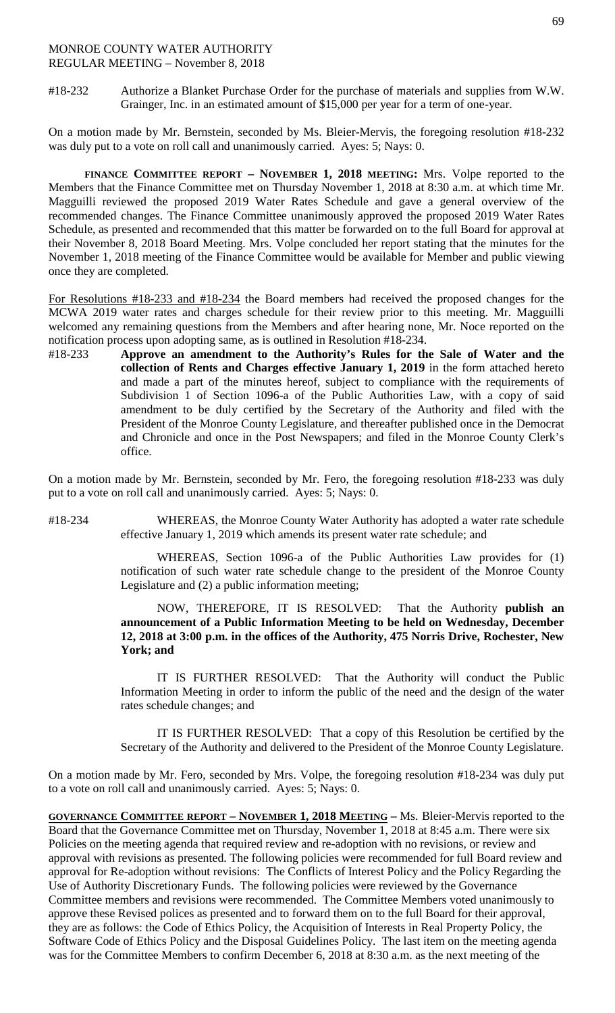#18-232 Authorize a Blanket Purchase Order for the purchase of materials and supplies from W.W. Grainger, Inc. in an estimated amount of \$15,000 per year for a term of one-year.

On a motion made by Mr. Bernstein, seconded by Ms. Bleier-Mervis, the foregoing resolution #18-232 was duly put to a vote on roll call and unanimously carried. Ayes: 5; Nays: 0.

**FINANCE COMMITTEE REPORT – NOVEMBER 1, 2018 MEETING:** Mrs. Volpe reported to the Members that the Finance Committee met on Thursday November 1, 2018 at 8:30 a.m. at which time Mr. Magguilli reviewed the proposed 2019 Water Rates Schedule and gave a general overview of the recommended changes. The Finance Committee unanimously approved the proposed 2019 Water Rates Schedule, as presented and recommended that this matter be forwarded on to the full Board for approval at their November 8, 2018 Board Meeting. Mrs. Volpe concluded her report stating that the minutes for the November 1, 2018 meeting of the Finance Committee would be available for Member and public viewing once they are completed.

For Resolutions #18-233 and #18-234 the Board members had received the proposed changes for the MCWA 2019 water rates and charges schedule for their review prior to this meeting. Mr. Magguilli welcomed any remaining questions from the Members and after hearing none, Mr. Noce reported on the notification process upon adopting same, as is outlined in Resolution #18-234.

#18-233 **Approve an amendment to the Authority's Rules for the Sale of Water and the collection of Rents and Charges effective January 1, 2019** in the form attached hereto and made a part of the minutes hereof, subject to compliance with the requirements of Subdivision 1 of Section 1096-a of the Public Authorities Law, with a copy of said amendment to be duly certified by the Secretary of the Authority and filed with the President of the Monroe County Legislature, and thereafter published once in the Democrat and Chronicle and once in the Post Newspapers; and filed in the Monroe County Clerk's office.

On a motion made by Mr. Bernstein, seconded by Mr. Fero, the foregoing resolution #18-233 was duly put to a vote on roll call and unanimously carried. Ayes: 5; Nays: 0.

#18-234 WHEREAS, the Monroe County Water Authority has adopted a water rate schedule effective January 1, 2019 which amends its present water rate schedule; and

> WHEREAS, Section 1096-a of the Public Authorities Law provides for (1) notification of such water rate schedule change to the president of the Monroe County Legislature and (2) a public information meeting;

> NOW, THEREFORE, IT IS RESOLVED: That the Authority **publish an announcement of a Public Information Meeting to be held on Wednesday, December 12, 2018 at 3:00 p.m. in the offices of the Authority, 475 Norris Drive, Rochester, New York; and**

> IT IS FURTHER RESOLVED: That the Authority will conduct the Public Information Meeting in order to inform the public of the need and the design of the water rates schedule changes; and

> IT IS FURTHER RESOLVED: That a copy of this Resolution be certified by the Secretary of the Authority and delivered to the President of the Monroe County Legislature.

On a motion made by Mr. Fero, seconded by Mrs. Volpe, the foregoing resolution #18-234 was duly put to a vote on roll call and unanimously carried. Ayes: 5; Nays: 0.

**GOVERNANCE COMMITTEE REPORT – NOVEMBER 1, 2018 MEETING –** Ms. Bleier-Mervis reported to the Board that the Governance Committee met on Thursday, November 1, 2018 at 8:45 a.m. There were six Policies on the meeting agenda that required review and re-adoption with no revisions, or review and approval with revisions as presented. The following policies were recommended for full Board review and approval for Re-adoption without revisions: The Conflicts of Interest Policy and the Policy Regarding the Use of Authority Discretionary Funds. The following policies were reviewed by the Governance Committee members and revisions were recommended. The Committee Members voted unanimously to approve these Revised polices as presented and to forward them on to the full Board for their approval, they are as follows: the Code of Ethics Policy, the Acquisition of Interests in Real Property Policy, the Software Code of Ethics Policy and the Disposal Guidelines Policy. The last item on the meeting agenda was for the Committee Members to confirm December 6, 2018 at 8:30 a.m. as the next meeting of the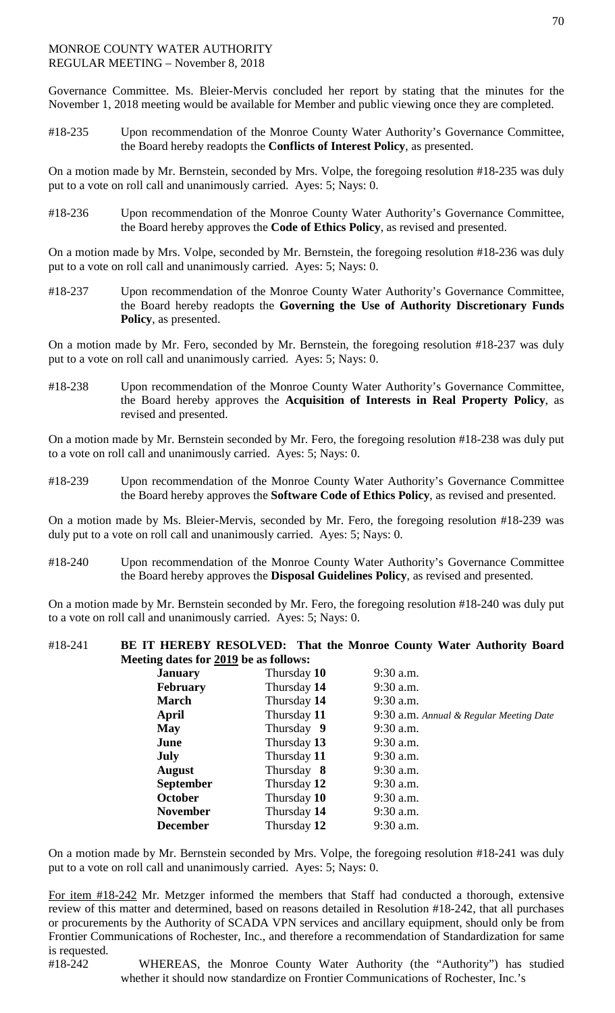Governance Committee. Ms. Bleier-Mervis concluded her report by stating that the minutes for the November 1, 2018 meeting would be available for Member and public viewing once they are completed.

#18-235 Upon recommendation of the Monroe County Water Authority's Governance Committee, the Board hereby readopts the **Conflicts of Interest Policy**, as presented.

On a motion made by Mr. Bernstein, seconded by Mrs. Volpe, the foregoing resolution #18-235 was duly put to a vote on roll call and unanimously carried. Ayes: 5; Nays: 0.

#18-236 Upon recommendation of the Monroe County Water Authority's Governance Committee, the Board hereby approves the **Code of Ethics Policy**, as revised and presented.

On a motion made by Mrs. Volpe, seconded by Mr. Bernstein, the foregoing resolution #18-236 was duly put to a vote on roll call and unanimously carried. Ayes: 5; Nays: 0.

#18-237 Upon recommendation of the Monroe County Water Authority's Governance Committee, the Board hereby readopts the **Governing the Use of Authority Discretionary Funds Policy**, as presented.

On a motion made by Mr. Fero, seconded by Mr. Bernstein, the foregoing resolution #18-237 was duly put to a vote on roll call and unanimously carried. Ayes: 5; Nays: 0.

#18-238 Upon recommendation of the Monroe County Water Authority's Governance Committee, the Board hereby approves the **Acquisition of Interests in Real Property Policy**, as revised and presented.

On a motion made by Mr. Bernstein seconded by Mr. Fero, the foregoing resolution #18-238 was duly put to a vote on roll call and unanimously carried. Ayes: 5; Nays: 0.

#18-239 Upon recommendation of the Monroe County Water Authority's Governance Committee the Board hereby approves the **Software Code of Ethics Policy**, as revised and presented.

On a motion made by Ms. Bleier-Mervis, seconded by Mr. Fero, the foregoing resolution #18-239 was duly put to a vote on roll call and unanimously carried. Ayes: 5; Nays: 0.

#18-240 Upon recommendation of the Monroe County Water Authority's Governance Committee the Board hereby approves the **Disposal Guidelines Policy**, as revised and presented.

On a motion made by Mr. Bernstein seconded by Mr. Fero, the foregoing resolution #18-240 was duly put to a vote on roll call and unanimously carried. Ayes: 5; Nays: 0.

## #18-241 **BE IT HEREBY RESOLVED: That the Monroe County Water Authority Board Meeting dates for 2019 be as follows:**

| <b>January</b>   | Thursday 10 | $9:30$ a.m.                             |
|------------------|-------------|-----------------------------------------|
| <b>February</b>  | Thursday 14 | $9:30$ a.m.                             |
| <b>March</b>     | Thursday 14 | $9:30$ a.m.                             |
| April            | Thursday 11 | 9:30 a.m. Annual & Regular Meeting Date |
| <b>May</b>       | Thursday 9  | 9:30 a.m.                               |
| June             | Thursday 13 | $9:30$ a.m.                             |
| <b>July</b>      | Thursday 11 | $9:30$ a.m.                             |
| <b>August</b>    | Thursday 8  | $9:30$ a.m.                             |
| <b>September</b> | Thursday 12 | $9:30$ a.m.                             |
| <b>October</b>   | Thursday 10 | $9:30$ a.m.                             |
| <b>November</b>  | Thursday 14 | $9:30$ a.m.                             |
| <b>December</b>  | Thursday 12 | 9:30 a.m.                               |
|                  |             |                                         |

On a motion made by Mr. Bernstein seconded by Mrs. Volpe, the foregoing resolution #18-241 was duly put to a vote on roll call and unanimously carried. Ayes: 5; Nays: 0.

For item #18-242 Mr. Metzger informed the members that Staff had conducted a thorough, extensive review of this matter and determined, based on reasons detailed in Resolution #18-242, that all purchases or procurements by the Authority of SCADA VPN services and ancillary equipment, should only be from Frontier Communications of Rochester, Inc., and therefore a recommendation of Standardization for same is requested.

#18-242 WHEREAS, the Monroe County Water Authority (the "Authority") has studied whether it should now standardize on Frontier Communications of Rochester, Inc.'s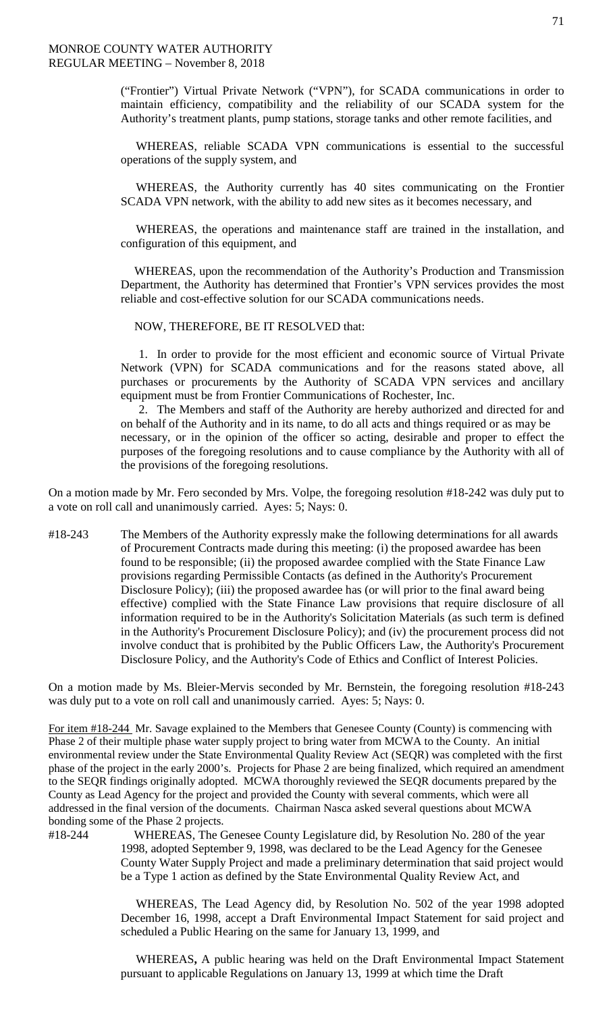("Frontier") Virtual Private Network ("VPN"), for SCADA communications in order to maintain efficiency, compatibility and the reliability of our SCADA system for the Authority's treatment plants, pump stations, storage tanks and other remote facilities, and

 WHEREAS, reliable SCADA VPN communications is essential to the successful operations of the supply system, and

 WHEREAS, the Authority currently has 40 sites communicating on the Frontier SCADA VPN network, with the ability to add new sites as it becomes necessary, and

 WHEREAS, the operations and maintenance staff are trained in the installation, and configuration of this equipment, and

WHEREAS, upon the recommendation of the Authority's Production and Transmission Department, the Authority has determined that Frontier's VPN services provides the most reliable and cost-effective solution for our SCADA communications needs.

NOW, THEREFORE, BE IT RESOLVED that:

1. In order to provide for the most efficient and economic source of Virtual Private Network (VPN) for SCADA communications and for the reasons stated above, all purchases or procurements by the Authority of SCADA VPN services and ancillary equipment must be from Frontier Communications of Rochester, Inc.

2. The Members and staff of the Authority are hereby authorized and directed for and on behalf of the Authority and in its name, to do all acts and things required or as may be necessary, or in the opinion of the officer so acting, desirable and proper to effect the purposes of the foregoing resolutions and to cause compliance by the Authority with all of the provisions of the foregoing resolutions.

On a motion made by Mr. Fero seconded by Mrs. Volpe, the foregoing resolution #18-242 was duly put to a vote on roll call and unanimously carried. Ayes: 5; Nays: 0.

#18-243 The Members of the Authority expressly make the following determinations for all awards of Procurement Contracts made during this meeting: (i) the proposed awardee has been found to be responsible; (ii) the proposed awardee complied with the State Finance Law provisions regarding Permissible Contacts (as defined in the Authority's Procurement Disclosure Policy); (iii) the proposed awardee has (or will prior to the final award being effective) complied with the State Finance Law provisions that require disclosure of all information required to be in the Authority's Solicitation Materials (as such term is defined in the Authority's Procurement Disclosure Policy); and (iv) the procurement process did not involve conduct that is prohibited by the Public Officers Law, the Authority's Procurement Disclosure Policy, and the Authority's Code of Ethics and Conflict of Interest Policies.

On a motion made by Ms. Bleier-Mervis seconded by Mr. Bernstein, the foregoing resolution #18-243 was duly put to a vote on roll call and unanimously carried. Ayes: 5; Nays: 0.

For item #18-244 Mr. Savage explained to the Members that Genesee County (County) is commencing with Phase 2 of their multiple phase water supply project to bring water from MCWA to the County. An initial environmental review under the State Environmental Quality Review Act (SEQR) was completed with the first phase of the project in the early 2000's. Projects for Phase 2 are being finalized, which required an amendment to the SEQR findings originally adopted. MCWA thoroughly reviewed the SEQR documents prepared by the County as Lead Agency for the project and provided the County with several comments, which were all addressed in the final version of the documents. Chairman Nasca asked several questions about MCWA bonding some of the Phase 2 projects.

#18-244WHEREAS, The Genesee County Legislature did, by Resolution No. 280 of the year 1998, adopted September 9, 1998, was declared to be the Lead Agency for the Genesee County Water Supply Project and made a preliminary determination that said project would be a Type 1 action as defined by the State Environmental Quality Review Act, and

> WHEREAS, The Lead Agency did, by Resolution No. 502 of the year 1998 adopted December 16, 1998, accept a Draft Environmental Impact Statement for said project and scheduled a Public Hearing on the same for January 13, 1999, and

> WHEREAS**,** A public hearing was held on the Draft Environmental Impact Statement pursuant to applicable Regulations on January 13, 1999 at which time the Draft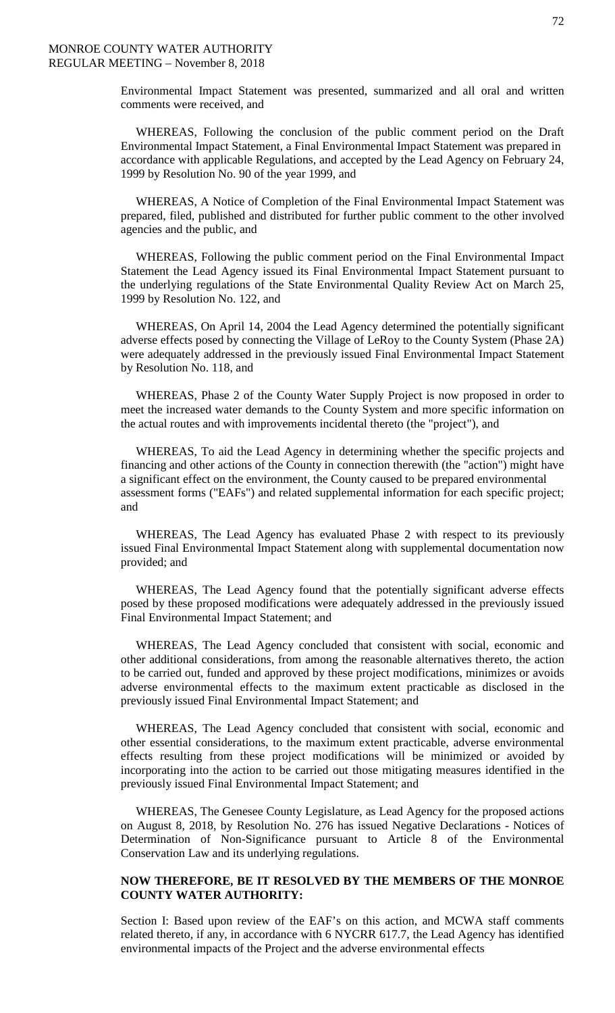Environmental Impact Statement was presented, summarized and all oral and written comments were received, and

WHEREAS, Following the conclusion of the public comment period on the Draft Environmental Impact Statement, a Final Environmental Impact Statement was prepared in accordance with applicable Regulations, and accepted by the Lead Agency on February 24, 1999 by Resolution No. 90 of the year 1999, and

WHEREAS, A Notice of Completion of the Final Environmental Impact Statement was prepared, filed, published and distributed for further public comment to the other involved agencies and the public, and

WHEREAS, Following the public comment period on the Final Environmental Impact Statement the Lead Agency issued its Final Environmental Impact Statement pursuant to the underlying regulations of the State Environmental Quality Review Act on March 25, 1999 by Resolution No. 122, and

 WHEREAS, On April 14, 2004 the Lead Agency determined the potentially significant adverse effects posed by connecting the Village of LeRoy to the County System (Phase 2A) were adequately addressed in the previously issued Final Environmental Impact Statement by Resolution No. 118, and

WHEREAS, Phase 2 of the County Water Supply Project is now proposed in order to meet the increased water demands to the County System and more specific information on the actual routes and with improvements incidental thereto (the "project"), and

 WHEREAS, To aid the Lead Agency in determining whether the specific projects and financing and other actions of the County in connection therewith (the "action") might have a significant effect on the environment, the County caused to be prepared environmental assessment forms ("EAFs") and related supplemental information for each specific project; and

WHEREAS, The Lead Agency has evaluated Phase 2 with respect to its previously issued Final Environmental Impact Statement along with supplemental documentation now provided; and

WHEREAS, The Lead Agency found that the potentially significant adverse effects posed by these proposed modifications were adequately addressed in the previously issued Final Environmental Impact Statement; and

WHEREAS, The Lead Agency concluded that consistent with social, economic and other additional considerations, from among the reasonable alternatives thereto, the action to be carried out, funded and approved by these project modifications, minimizes or avoids adverse environmental effects to the maximum extent practicable as disclosed in the previously issued Final Environmental Impact Statement; and

WHEREAS, The Lead Agency concluded that consistent with social, economic and other essential considerations, to the maximum extent practicable, adverse environmental effects resulting from these project modifications will be minimized or avoided by incorporating into the action to be carried out those mitigating measures identified in the previously issued Final Environmental Impact Statement; and

WHEREAS, The Genesee County Legislature, as Lead Agency for the proposed actions on August 8, 2018, by Resolution No. 276 has issued Negative Declarations - Notices of Determination of Non-Significance pursuant to Article 8 of the Environmental Conservation Law and its underlying regulations.

## **NOW THEREFORE, BE IT RESOLVED BY THE MEMBERS OF THE MONROE COUNTY WATER AUTHORITY:**

Section I: Based upon review of the EAF's on this action, and MCWA staff comments related thereto, if any, in accordance with 6 NYCRR 617.7, the Lead Agency has identified environmental impacts of the Project and the adverse environmental effects